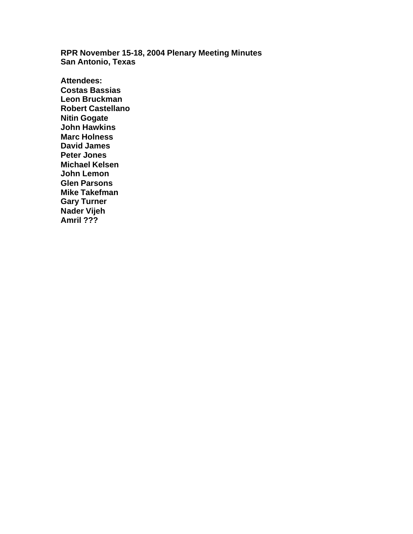**RPR November 15-18, 2004 Plenary Meeting Minutes San Antonio, Texas**

**Attendees: Costas Bassias Leon Bruckman Robert Castellano Nitin Gogate John Hawkins Marc Holness David James Peter Jones Michael Kelsen John Lemon Glen Parsons Mike Takefman Gary Turner Nader Vijeh Amril ???**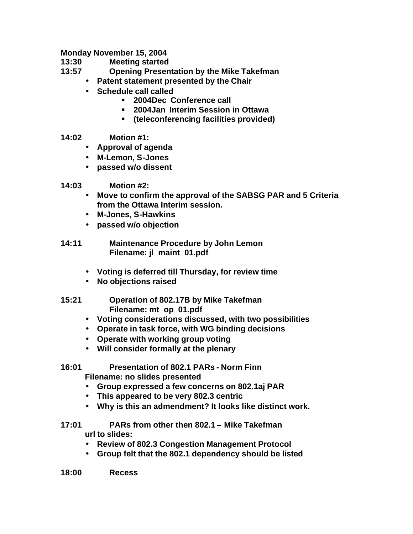**Monday November 15, 2004**

**13:30 Meeting started**

- **13:57 Opening Presentation by the Mike Takefman**
	- **Patent statement presented by the Chair**
	- **Schedule call called**
		- ß **2004Dec Conference call**
		- ß **2004Jan Interim Session in Ottawa**
		- ß **(teleconferencing facilities provided)**
- **14:02 Motion #1:**
	- **Approval of agenda**
	- **M-Lemon, S-Jones**
	- **passed w/o dissent**
- **14:03 Motion #2:**
	- **Move to confirm the approval of the SABSG PAR and 5 Criteria from the Ottawa Interim session.**
	- **M-Jones, S-Hawkins**
	- **passed w/o objection**
- **14:11 Maintenance Procedure by John Lemon Filename: jl\_maint\_01.pdf**
	- **Voting is deferred till Thursday, for review time**
	- **No objections raised**
- **15:21 Operation of 802.17B by Mike Takefman Filename: mt\_op\_01.pdf**
	- **Voting considerations discussed, with two possibilities**
	- **Operate in task force, with WG binding decisions**
	- **Operate with working group voting**
	- **Will consider formally at the plenary**
- **16:01 Presentation of 802.1 PARs Norm Finn Filename: no slides presented** 
	- **Group expressed a few concerns on 802.1aj PAR**
	- **This appeared to be very 802.3 centric**
	- **Why is this an admendment? It looks like distinct work.**
- **17:01 PARs from other then 802.1 Mike Takefman url to slides:**
	- **Review of 802.3 Congestion Management Protocol**
	- **Group felt that the 802.1 dependency should be listed**
- **18:00 Recess**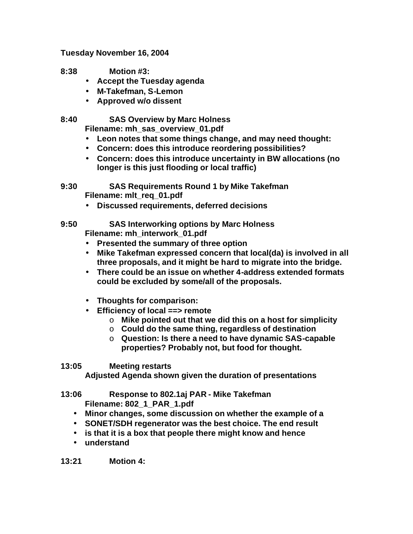**Tuesday November 16, 2004**

- **8:38 Motion #3:** 
	- **Accept the Tuesday agenda**
	- **M-Takefman, S-Lemon**
	- **Approved w/o dissent**

**8:40 SAS Overview by Marc Holness**

**Filename: mh\_sas\_overview\_01.pdf**

- **Leon notes that some things change, and may need thought:**
- **Concern: does this introduce reordering possibilities?**
- **Concern: does this introduce uncertainty in BW allocations (no longer is this just flooding or local traffic)**
- **9:30 SAS Requirements Round 1 by Mike Takefman Filename: mlt\_req\_01.pdf**
	- **Discussed requirements, deferred decisions**
- **9:50 SAS Interworking options by Marc Holness Filename: mh\_interwork\_01.pdf**
	- **Presented the summary of three option**
	- **Mike Takefman expressed concern that local(da) is involved in all three proposals, and it might be hard to migrate into the bridge.**
	- **There could be an issue on whether 4-address extended formats could be excluded by some/all of the proposals.**
	- **Thoughts for comparison:**
	- **Efficiency of local ==> remote**
		- o **Mike pointed out that we did this on a host for simplicity**
		- o **Could do the same thing, regardless of destination**
		- o **Question: Is there a need to have dynamic SAS-capable properties? Probably not, but food for thought.**
- **13:05 Meeting restarts**

**Adjusted Agenda shown given the duration of presentations**

**13:06 Response to 802.1aj PAR - Mike Takefman Filename: 802\_1\_PAR\_1.pdf**

- **Minor changes, some discussion on whether the example of a**
- **SONET/SDH regenerator was the best choice. The end result**
- **is that it is a box that people there might know and hence**
- **understand**

**13:21 Motion 4:**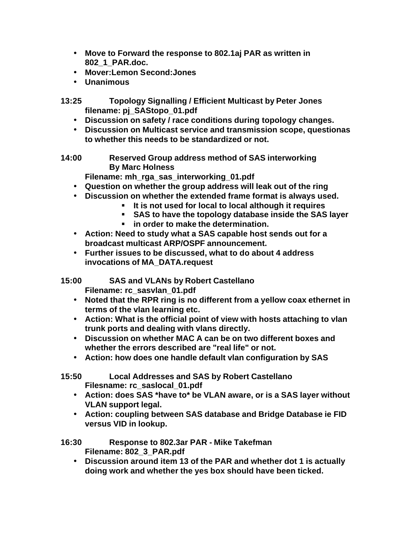- **Move to Forward the response to 802.1aj PAR as written in 802\_1\_PAR.doc.**
- **Mover:Lemon Second:Jones**
- **Unanimous**
- **13:25 Topology Signalling / Efficient Multicast by Peter Jones filename: pj\_SAStopo\_01.pdf**
	- **Discussion on safety / race conditions during topology changes.**
	- **Discussion on Multicast service and transmission scope, questionas to whether this needs to be standardized or not.**
- **14:00 Reserved Group address method of SAS interworking By Marc Holness**
	- **Filename: mh\_rga\_sas\_interworking\_01.pdf**
	- **Question on whether the group address will leak out of the ring**
	- **Discussion on whether the extended frame format is always used.**
		- **It is not used for local to local although it requires**
		- ß **SAS to have the topology database inside the SAS layer**
		- $\blacksquare$  in order to make the determination.
	- **Action: Need to study what a SAS capable host sends out for a broadcast multicast ARP/OSPF announcement.**
	- **Further issues to be discussed, what to do about 4 address invocations of MA\_DATA.request**
- **15:00 SAS and VLANs by Robert Castellano Filename: rc\_sasvlan\_01.pdf**
	- **Noted that the RPR ring is no different from a yellow coax ethernet in terms of the vlan learning etc.**
	- **Action: What is the official point of view with hosts attaching to vlan trunk ports and dealing with vlans directly.**
	- **Discussion on whether MAC A can be on two different boxes and whether the errors described are "real life" or not.**
	- **Action: how does one handle default vlan configuration by SAS**
- **15:50 Local Addresses and SAS by Robert Castellano Filesname: rc\_saslocal\_01.pdf**
	- **Action: does SAS \*have to\* be VLAN aware, or is a SAS layer without VLAN support legal.**
	- **Action: coupling between SAS database and Bridge Database ie FID versus VID in lookup.**

## **16:30 Response to 802.3ar PAR - Mike Takefman Filename: 802\_3\_PAR.pdf**

• **Discussion around item 13 of the PAR and whether dot 1 is actually doing work and whether the yes box should have been ticked.**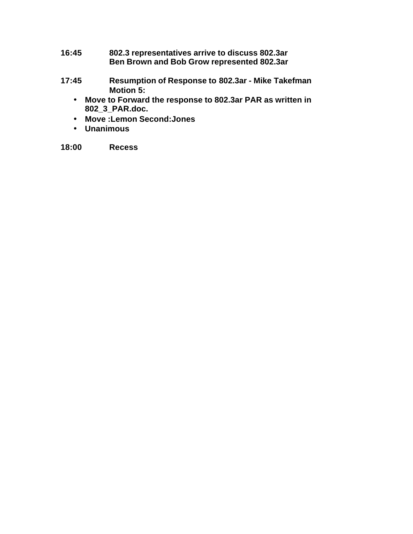- **16:45 802.3 representatives arrive to discuss 802.3ar Ben Brown and Bob Grow represented 802.3ar**
- **17:45 Resumption of Response to 802.3ar Mike Takefman Motion 5:** 
	- **Move to Forward the response to 802.3ar PAR as written in 802\_3\_PAR.doc.**
	- **Move :Lemon Second:Jones**
	- **Unanimous**

**18:00 Recess**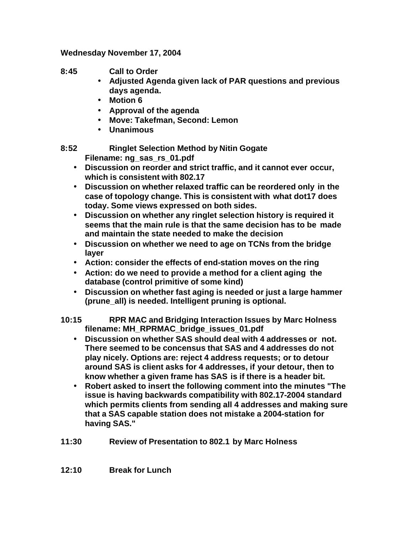**Wednesday November 17, 2004**

- **8:45 Call to Order**
	- **Adjusted Agenda given lack of PAR questions and previous days agenda.**
	- **Motion 6**
	- **Approval of the agenda**
	- **Move: Takefman, Second: Lemon**
	- **Unanimous**

**8:52 Ringlet Selection Method by Nitin Gogate Filename: ng\_sas\_rs\_01.pdf**

- **Discussion on reorder and strict traffic, and it cannot ever occur, which is consistent with 802.17**
- **Discussion on whether relaxed traffic can be reordered only in the case of topology change. This is consistent with what dot17 does today. Some views expressed on both sides.**
- **Discussion on whether any ringlet selection history is required it seems that the main rule is that the same decision has to be made and maintain the state needed to make the decision**
- **Discussion on whether we need to age on TCNs from the bridge layer**
- **Action: consider the effects of end-station moves on the ring**
- **Action: do we need to provide a method for a client aging the database (control primitive of some kind)**
- **Discussion on whether fast aging is needed or just a large hammer (prune\_all) is needed. Intelligent pruning is optional.**

**10:15 RPR MAC and Bridging Interaction Issues by Marc Holness filename: MH\_RPRMAC\_bridge\_issues\_01.pdf**

- **Discussion on whether SAS should deal with 4 addresses or not. There seemed to be concensus that SAS and 4 addresses do not play nicely. Options are: reject 4 address requests; or to detour around SAS is client asks for 4 addresses, if your detour, then to know whether a given frame has SAS is if there is a header bit.**
- **Robert asked to insert the following comment into the minutes "The issue is having backwards compatibility with 802.17-2004 standard which permits clients from sending all 4 addresses and making sure that a SAS capable station does not mistake a 2004-station for having SAS."**
- **11:30 Review of Presentation to 802.1 by Marc Holness**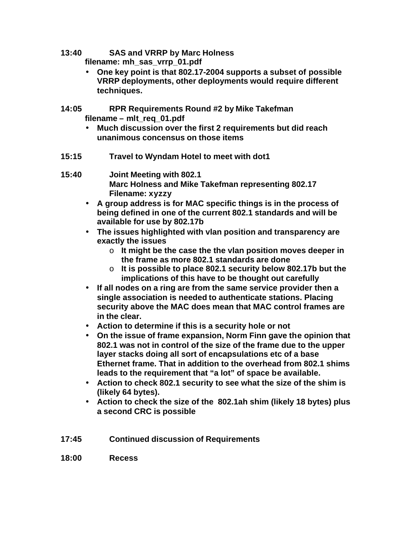- **13:40 SAS and VRRP by Marc Holness filename: mh\_sas\_vrrp\_01.pdf**
	- **One key point is that 802.17-2004 supports a subset of possible VRRP deployments, other deployments would require different techniques.**
- **14:05 RPR Requirements Round #2 by Mike Takefman filename – mlt\_req\_01.pdf**
	- **Much discussion over the first 2 requirements but did reach unanimous concensus on those items**
- **15:15 Travel to Wyndam Hotel to meet with dot1**
- **15:40 Joint Meeting with 802.1 Marc Holness and Mike Takefman representing 802.17 Filename: xyzzy**
	- **A group address is for MAC specific things is in the process of being defined in one of the current 802.1 standards and will be available for use by 802.17b**
	- **The issues highlighted with vlan position and transparency are exactly the issues**
		- o **It might be the case the the vlan position moves deeper in the frame as more 802.1 standards are done**
		- o **It is possible to place 802.1 security below 802.17b but the implications of this have to be thought out carefully**
	- **If all nodes on a ring are from the same service provider then a single association is needed to authenticate stations. Placing security above the MAC does mean that MAC control frames are in the clear.**
	- **Action to determine if this is a security hole or not**
	- **On the issue of frame expansion, Norm Finn gave the opinion that 802.1 was not in control of the size of the frame due to the upper layer stacks doing all sort of encapsulations etc of a base Ethernet frame. That in addition to the overhead from 802.1 shims leads to the requirement that "a lot" of space be available.**
	- **Action to check 802.1 security to see what the size of the shim is (likely 64 bytes).**
	- **Action to check the size of the 802.1ah shim (likely 18 bytes) plus a second CRC is possible**
- **17:45 Continued discussion of Requirements**
- **18:00 Recess**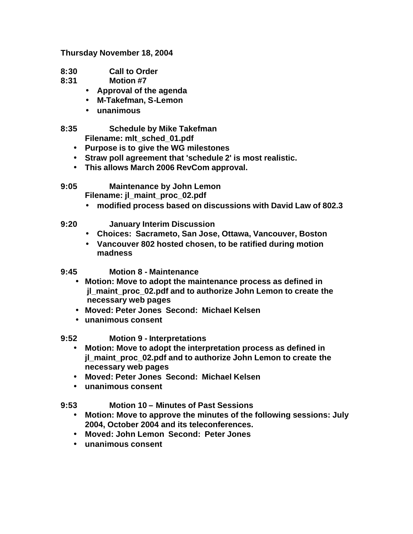**Thursday November 18, 2004**

- **8:30 Call to Order**
- **8:31 Motion #7**
	- **Approval of the agenda**
	- **M-Takefman, S-Lemon**
	- **unanimous**

**8:35 Schedule by Mike Takefman Filename: mlt\_sched\_01.pdf**

- **Purpose is to give the WG milestones**
- **Straw poll agreement that 'schedule 2' is most realistic.**
- **This allows March 2006 RevCom approval.**
- **9:05 Maintenance by John Lemon Filename: jl\_maint\_proc\_02.pdf**
	- **modified process based on discussions with David Law of 802.3**
- **9:20 January Interim Discussion**
	- **Choices: Sacrameto, San Jose, Ottawa, Vancouver, Boston**
	- **Vancouver 802 hosted chosen, to be ratified during motion madness**

**9:45 Motion 8 - Maintenance**

- **Motion: Move to adopt the maintenance process as defined in jl\_maint\_proc\_02.pdf and to authorize John Lemon to create the necessary web pages**
- **Moved: Peter Jones Second: Michael Kelsen**
- **unanimous consent**

**9:52 Motion 9 - Interpretations**

- **Motion: Move to adopt the interpretation process as defined in jl\_maint\_proc\_02.pdf and to authorize John Lemon to create the necessary web pages**
- **Moved: Peter Jones Second: Michael Kelsen**
- **unanimous consent**

## **9:53 Motion 10 – Minutes of Past Sessions**

- **Motion: Move to approve the minutes of the following sessions: July 2004, October 2004 and its teleconferences.**
- **Moved: John Lemon Second: Peter Jones**
- **unanimous consent**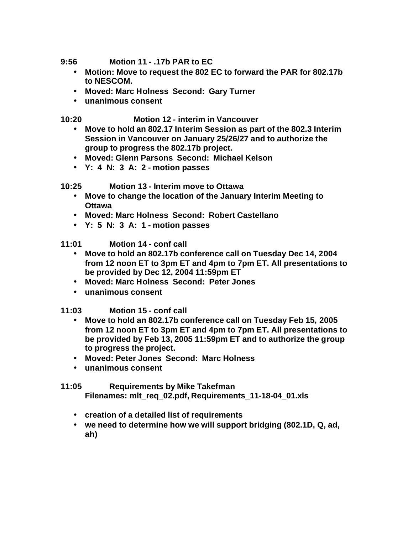**9:56 Motion 11 - .17b PAR to EC**

- **Motion: Move to request the 802 EC to forward the PAR for 802.17b to NESCOM.**
- **Moved: Marc Holness Second: Gary Turner**
- **unanimous consent**

**10:20 Motion 12 - interim in Vancouver**

- **Move to hold an 802.17 Interim Session as part of the 802.3 Interim Session in Vancouver on January 25/26/27 and to authorize the group to progress the 802.17b project.**
- **Moved: Glenn Parsons Second: Michael Kelson**
- **Y: 4 N: 3 A: 2 motion passes**

## **10:25 Motion 13 - Interim move to Ottawa**

- **Move to change the location of the January Interim Meeting to Ottawa**
- **Moved: Marc Holness Second: Robert Castellano**
- **Y: 5 N: 3 A: 1 motion passes**

**11:01 Motion 14 - conf call**

- **Move to hold an 802.17b conference call on Tuesday Dec 14, 2004 from 12 noon ET to 3pm ET and 4pm to 7pm ET. All presentations to be provided by Dec 12, 2004 11:59pm ET**
- **Moved: Marc Holness Second: Peter Jones**
- **unanimous consent**

**11:03 Motion 15 - conf call**

- **Move to hold an 802.17b conference call on Tuesday Feb 15, 2005 from 12 noon ET to 3pm ET and 4pm to 7pm ET. All presentations to be provided by Feb 13, 2005 11:59pm ET and to authorize the group to progress the project.**
- **Moved: Peter Jones Second: Marc Holness**
- **unanimous consent**

## **11:05 Requirements by Mike Takefman Filenames: mlt\_req\_02.pdf, Requirements\_11-18-04\_01.xls**

- **creation of a detailed list of requirements**
- **we need to determine how we will support bridging (802.1D, Q, ad, ah)**